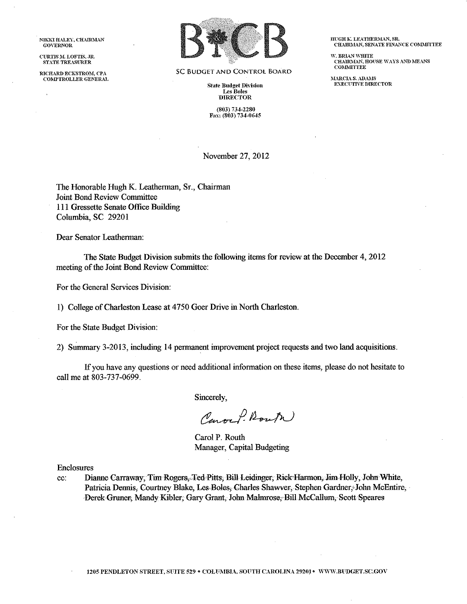NIKKI HALEY, CHAIRMAN **GOVERNOR** 

CURTIS M. LOFTIS, JR. STATE TREASURER

RICHARD ECKSTROM, CPA **COMPTROLLER GENERAL** 



**SC BUDGET AND CONTROL BOARD** 

**State Budget Division Les Boles DIRECTOR** 

 $(803) 734 - 2280$ Fax: (803) 734-0645 HUGH K. LEATHERMAN, SR. CHAIRMAN, SENATE FINANCE COMMITTEE

W RRIAN WHITE CHAIRMAN, HOUSE WAYS AND MEANS **COMMITTEE** 

**MARCIA S. ADAMS<br>EXECUTIVE DIRECTOR** 

November 27, 2012

The Honorable Hugh K. Leatherman, Sr., Chairman **Joint Bond Review Committee** 111 Gressette Senate Office Building Columbia, SC 29201

Dear Senator Leatherman:

The State Budget Division submits the following items for review at the December 4, 2012 meeting of the Joint Bond Review Committee:

For the General Services Division:

1) College of Charleston Lease at 4750 Goer Drive in North Charleston.

For the State Budget Division:

2) Summary 3-2013, including 14 permanent improvement project requests and two land acquisitions.

If you have any questions or need additional information on these items, please do not hesitate to call me at 803-737-0699.

Sincerely,

Carock Route

Carol P. Routh Manager, Capital Budgeting

Enclosures

Dianne Carraway, Tim Rogers, Ted Pitts, Bill Leidinger, Rick Harmon, Jim Holly, John White, cc: Patricia Dennis, Courtney Blake, Les-Boles, Charles Shawver, Stephen Gardner, John McEntire, Derek Gruner, Mandy Kibler, Gary Grant, John Malmrose, Bill McCallum, Scott Speares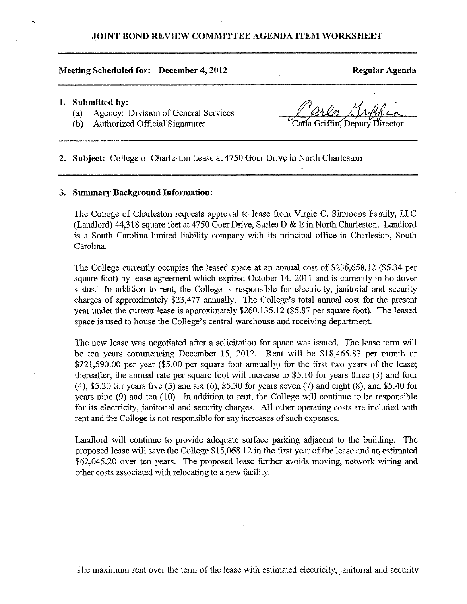# JOINT BOND REVIEW COMMITTEE AGENDA ITEM WORKSHEET

## Meeting Scheduled for: December 4, 2012

Regular Agenda

## 1. Submitted by:

- Agency: Division of General Services  $(a)$
- Authorized Official Signature:  $(b)$

Carla Griffin. Deputy Director

2. Subject: College of Charleston Lease at 4750 Goer Drive in North Charleston

## 3. Summary Background Information:

The College of Charleston requests approval to lease from Virgie C. Simmons Family, LLC (Landlord) 44,318 square feet at 4750 Goer Drive, Suites D & E in North Charleston, Landlord is a South Carolina limited liability company with its principal office in Charleston, South Carolina.

The College currently occupies the leased space at an annual cost of \$236,658.12 (\$5.34 per square foot) by lease agreement which expired October 14, 2011 and is currently in holdover status. In addition to rent, the College is responsible for electricity, janitorial and security charges of approximately \$23,477 annually. The College's total annual cost for the present year under the current lease is approximately \$260,135.12 (\$5.87 per square foot). The leased space is used to house the College's central warehouse and receiving department.

The new lease was negotiated after a solicitation for space was issued. The lease term will be ten years commencing December 15, 2012. Rent will be \$18,465.83 per month or \$221,590.00 per year (\$5.00 per square foot annually) for the first two years of the lease; thereafter, the annual rate per square foot will increase to \$5.10 for years three (3) and four  $(4)$ , \$5.20 for years five (5) and six (6), \$5.30 for years seven (7) and eight (8), and \$5.40 for years nine  $(9)$  and ten  $(10)$ . In addition to rent, the College will continue to be responsible for its electricity, janitorial and security charges. All other operating costs are included with rent and the College is not responsible for any increases of such expenses.

Landlord will continue to provide adequate surface parking adjacent to the building. The proposed lease will save the College \$15,068.12 in the first year of the lease and an estimated \$62,045.20 over ten years. The proposed lease further avoids moving, network wiring and other costs associated with relocating to a new facility.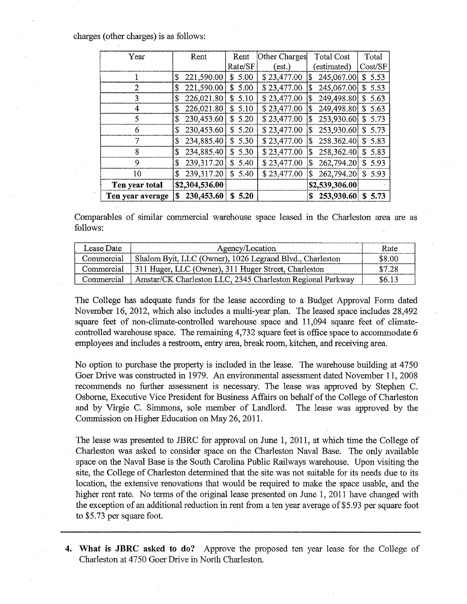charges (other charges) is as follows:

| Year             | Rent             | Rent        | Other Charges | Total Cost       | Total      |
|------------------|------------------|-------------|---------------|------------------|------------|
|                  |                  | Rate/SF     | (est.)        | (estimated)      | Cost/SF    |
|                  | 221,590.00<br>\$ | \$5.00      | \$23,477.00   | 245,067.00<br>\$ | \$5.53     |
| 2                | 221,590.00<br>\$ | 5.00<br>S.  | \$23,477.00   | 245,067.00<br>\$ | 5.53<br>S. |
| 3                | 226,021.80<br>\$ | \$5.10      | \$23,477.00   | 249,498.80<br>\$ | \$5.63     |
| 4                | 226,021.80<br>\$ | \$5.10      | \$23,477.00   | 249,498.80<br>\$ | S.<br>5.63 |
| 5                | 230,453.60<br>\$ | \$5.20      | \$23,477.00   | 253,930.60<br>\$ | 5.73<br>S  |
| 6                | 230,453.60<br>\$ | \$5.20      | \$23,477.00   | 253,930.60<br>\$ | 5.73<br>S. |
| 7                | 234,885.40<br>\$ | 5.30<br>\$. | \$23,477.00   | 258.362.40<br>\$ | 5.83<br>S. |
| 8                | 234,885.40<br>\$ | \$5.30      | \$23,477.00   | 258,362.40<br>\$ | \$5.83     |
| 9                | 239,317.20<br>\$ | \$5,40      | \$23,477.00   | 262,794.20<br>\$ | 5.93<br>S. |
| 10               | 239,317.20<br>\$ | \$5.40      | \$23,477.00   | 262,794.20<br>\$ | \$5.93     |
| Ten year total   | \$2,304,536.00   |             |               | \$2,539,306.00   |            |
| Ten year average | 230,453.60<br>S  | 5.20<br>S   |               | 253,930.60<br>S  | S.<br>5.73 |

Comparables of similar commercial warehouse space leased in the Charleston area are as follows:

| Lease Date | Agency/Location                                                     | Rate   |
|------------|---------------------------------------------------------------------|--------|
|            | Commercial Shalom Byit, LLC (Owner), 1026 Legrand Blvd., Charleston | \$8.00 |
|            | Commercial   311 Huger, LLC (Owner), 311 Huger Street, Charleston   | \$7.28 |
| Commercial | Amstar/CK Charleston LLC, 2345 Charleston Regional Parkway          | \$6.13 |

The College has adequate funds for the lease according to a Budget Approval Form dated November 16, 2012, which also includes a multi-year plan. The leased space includes 28,492 square feet of non-climate-controlled warehouse space and 11,094 square feet of climatecontrolled warehouse space. The remaining 4,732 square feet is office space to accommodate 6 employees and includes a restroom, entry area, break room, kitchen, and receiving area.

No option to purchase the property is included in the lease. The warehouse building at 4750 Goer Drive was constructed in 1979. An environmental assessment dated November 11, 2008 recommends no further assessment is necessary. The lease was approved by Stephen C. Osborne, Executive Vice President for Business Affairs on behalf of the College of Charleston and by Virgie C. Simmons, sole member of Landlord. The lease was approved by the Commission on Higher Education on May 26, 2011.

The lease was presented to JBRC for approval on June 1, 2011, at which time the College of Charleston was asked to consider space on the Charleston Naval Base. The only available space on the Naval Base is the South Carolina Public Railways warehouse. Upon visiting the site, the College of Charleston determined that the site was not suitable for its needs due to its location, the extensive renovations that would be required to make the space usable, and the higher rent rate. No terms of the original lease presented on June 1, 2011 have changed with the exception of an additional reduction in rent from a ten year average of \$5.93 per square foot to \$5.73 per square foot.

4. What is JBRC asked to do? Approve the proposed ten year lease for the College of Charleston at 4750 Goer Drive in North Charleston.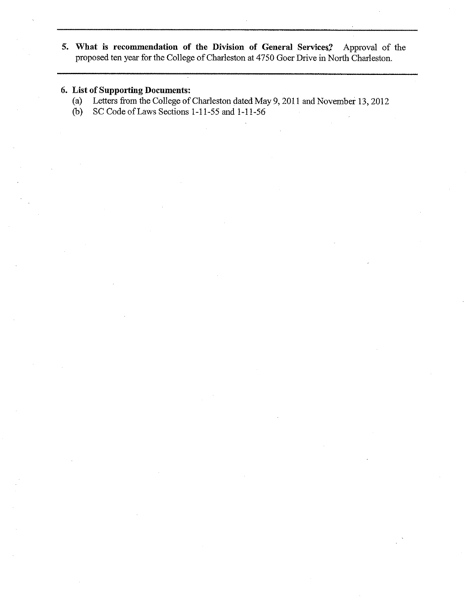5. What is recommendation of the Division of General Services? Approval of the proposed ten year for the College of Charleston at 4750 Goer Drive in North Charleston.

# 6. List of Supporting Documents:

- Letters from the College of Charleston dated May 9, 2011 and November 13, 2012  $(a)$
- SC Code of Laws Sections 1-11-55 and 1-11-56  $(b)$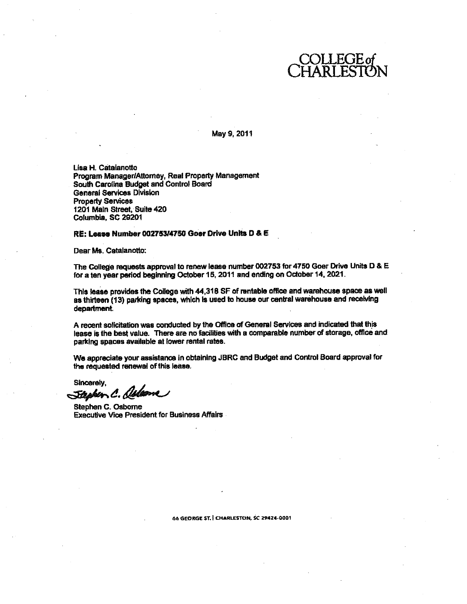

May 9, 2011

Lisa H. Catalanotto Program Manager/Attorney, Real Property Management South Carolina Budget and Control Board **General Services Division Property Services** 1201 Main Street, Suite 420 Columbia, SC 29201

### RE: Lease Number 002753/4750 Goer Drive Units D & E

Dear Ms. Catalanotto:

The College requests approval to renew lease number 002753 for 4750 Goer Drive Units D & E for a ten year period beginning October 15, 2011 and ending on October 14, 2021.

This lease provides the College with 44,318 SF of rentable office and warehouse space as well as thirteen (13) parking spaces, which is used to house our central warehouse and receiving department.

A recent solicitation was conducted by the Office of General Services and indicated that this lease is the best value. There are no facilities with a comparable number of storage, office and parking spaces available at lower rental rates.

We appreciate your assistance in obtaining JBRC and Budget and Control Board approval for the requested renewal of this lease.

Sincerely,

Stephen C. Aslame

Stephen C. Osborne **Executive Vice President for Business Affairs** 

66 GEORGE ST. | CHARLESTON, SC 29424-0001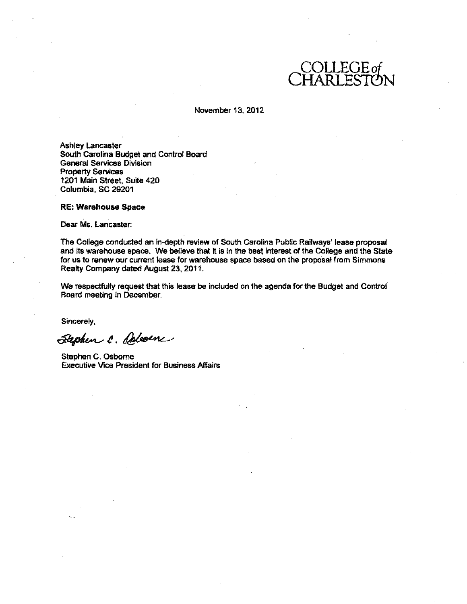

## November 13, 2012

**Ashley Lancaster** South Carolina Budget and Control Board **General Services Division Property Services** 1201 Main Street, Suite 420 Columbia, SC 29201

**RE: Warehouse Space** 

Dear Ms. Lancaster:

The College conducted an in-depth review of South Carolina Public Railways' lease proposal and its warehouse space. We believe that it is in the best interest of the College and the State for us to renew our current lease for warehouse space based on the proposal from Simmons Realty Company dated August 23, 2011.

We respectfully request that this lease be included on the agenda for the Budget and Control Board meeting in December.

Sincerely,

Stephen C. Delevene

Stephen C. Osborne **Executive Vice President for Business Affairs**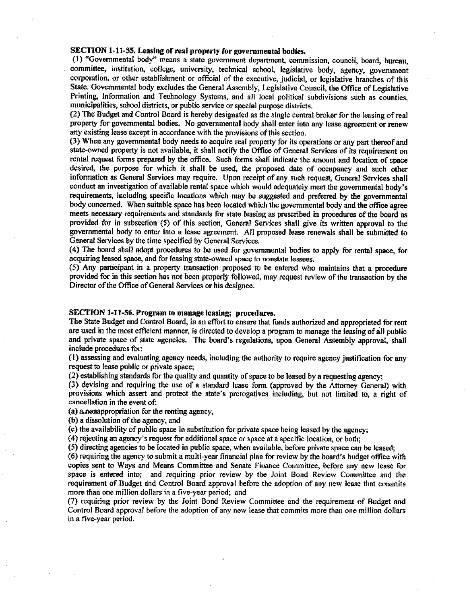## SECTION 1-11-55. Leasing of real property for governmental bodies.

(1) "Governmental body" means a state government department, commission, council, board, bureau, committee, institution, college, university, technical school, legislative body, agency, government corporation, or other establishment or official of the executive, judicial, or legislative branches of this State. Governmental body excludes the General Assembly, Legislative Council, the Office of Legislative Printing, Information and Technology Systems, and all local political subdivisions such as counties. municipalities, school districts, or public service or special purpose districts.

(2) The Budget and Control Board is hereby designated as the single central broker for the leasing of real property for governmental bodies. No governmental body shall enter into any lease agreement or renew any existing lease except in accordance with the provisions of this section.

(3) When any governmental body needs to acquire real property for its operations or any part thereof and state-owned property is not available, it shall notify the Office of General Services of its requirement on rental request forms prepared by the office. Such forms shall indicate the amount and location of space desired, the purpose for which it shall be used, the proposed date of occupancy and such other information as General Services may require. Upon receipt of any such request, General Services shall conduct an investigation of available rental space which would adequately meet the governmental body's requirements, including specific locations which may be suggested and preferred by the governmental body concerned. When suitable space has been located which the governmental body and the office agree meets necessary requirements and standards for state leasing as prescribed in procedures of the board as provided for in subsection (5) of this section, General Services shall give its written approval to the governmental body to enter into a lease agreement. All proposed lease renewals shall be submitted to General Services by the time specified by General Services.

(4) The board shall adopt procedures to be used for governmental bodies to apply for rental space, for acquiring leased space, and for leasing state-owned space to nonstate lessees.

(5) Any participant in a property transaction proposed to be entered who maintains that a procedure provided for in this section has not been properly followed, may request review of the transaction by the Director of the Office of General Services or his designee.

### SECTION 1-11-56. Program to manage leasing: procedures.

The State Budget and Control Board, in an effort to ensure that funds authorized and appropriated for rent are used in the most efficient manner, is directed to develop a program to manage the leasing of all public and private space of state agencies. The board's regulations, upon General Assembly approval, shall include procedures for:

(1) assessing and evaluating agency needs, including the authority to require agency justification for any request to lease public or private space:

(2) establishing standards for the quality and quantity of space to be leased by a requesting agency;

(3) devising and requiring the use of a standard lease form (approved by the Attorney General) with provisions which assert and protect the state's prerogatives including, but not limited to, a right of cancellation in the event of:

(a) a nonappropriation for the renting agency,

(b) a dissolution of the agency, and

(c) the availability of public space in substitution for private space being leased by the agency;

(4) rejecting an agency's request for additional space or space at a specific location, or both:

(5) directing agencies to be located in public space, when available, before private space can be leased; (6) requiring the agency to submit a multi-year financial plan for review by the board's budget office with copies sent to Ways and Means Committee and Senate Finance Committee, before any new lease for space is entered into; and requiring prior review by the Joint Bond Review Committee and the

requirement of Budget and Control Board approval before the adoption of any new lease that commits more than one million dollars in a five-year period; and

(7) requiring prior review by the Joint Bond Review Committee and the requirement of Budget and Control Board approval before the adoption of any new lease that commits more than one million dollars in a five-year period.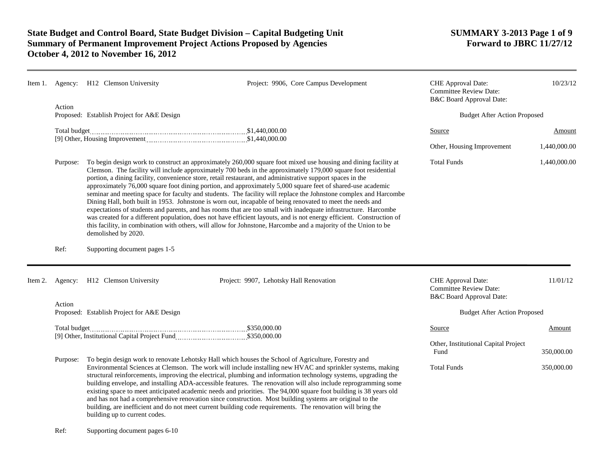| Item 1. |                  | Agency: H12 Clemson University                       | Project: 9906, Core Campus Development                                                                                                                                                                                                                                                                                                                                                                                                                                                                                                                                                                                                                                                                                                                                                                                                                                                                                                                                                                                                                          | CHE Approval Date:<br><b>Committee Review Date:</b><br>B&C Board Approval Date: | 10/23/12                 |
|---------|------------------|------------------------------------------------------|-----------------------------------------------------------------------------------------------------------------------------------------------------------------------------------------------------------------------------------------------------------------------------------------------------------------------------------------------------------------------------------------------------------------------------------------------------------------------------------------------------------------------------------------------------------------------------------------------------------------------------------------------------------------------------------------------------------------------------------------------------------------------------------------------------------------------------------------------------------------------------------------------------------------------------------------------------------------------------------------------------------------------------------------------------------------|---------------------------------------------------------------------------------|--------------------------|
|         | Action           | Proposed: Establish Project for A&E Design           |                                                                                                                                                                                                                                                                                                                                                                                                                                                                                                                                                                                                                                                                                                                                                                                                                                                                                                                                                                                                                                                                 | <b>Budget After Action Proposed</b>                                             |                          |
|         |                  |                                                      |                                                                                                                                                                                                                                                                                                                                                                                                                                                                                                                                                                                                                                                                                                                                                                                                                                                                                                                                                                                                                                                                 | Source<br>Other, Housing Improvement                                            | Amount<br>1,440,000.00   |
|         | Purpose:<br>Ref: | demolished by 2020.<br>Supporting document pages 1-5 | To begin design work to construct an approximately 260,000 square foot mixed use housing and dining facility at<br>Clemson. The facility will include approximately 700 beds in the approximately 179,000 square foot residential<br>portion, a dining facility, convenience store, retail restaurant, and administrative support spaces in the<br>approximately 76,000 square foot dining portion, and approximately 5,000 square feet of shared-use academic<br>seminar and meeting space for faculty and students. The facility will replace the Johnstone complex and Harcombe<br>Dining Hall, both built in 1953. Johnstone is worn out, incapable of being renovated to meet the needs and<br>expectations of students and parents, and has rooms that are too small with inadequate infrastructure. Harcombe<br>was created for a different population, does not have efficient layouts, and is not energy efficient. Construction of<br>this facility, in combination with others, will allow for Johnstone, Harcombe and a majority of the Union to be | <b>Total Funds</b>                                                              | 1,440,000.00             |
| Item 2. | Agency:          | H12 Clemson University                               | Project: 9907, Lehotsky Hall Renovation                                                                                                                                                                                                                                                                                                                                                                                                                                                                                                                                                                                                                                                                                                                                                                                                                                                                                                                                                                                                                         | CHE Approval Date:<br><b>Committee Review Date:</b><br>B&C Board Approval Date: | 11/01/12                 |
|         | Action           | Proposed: Establish Project for A&E Design           |                                                                                                                                                                                                                                                                                                                                                                                                                                                                                                                                                                                                                                                                                                                                                                                                                                                                                                                                                                                                                                                                 | <b>Budget After Action Proposed</b>                                             |                          |
|         |                  |                                                      |                                                                                                                                                                                                                                                                                                                                                                                                                                                                                                                                                                                                                                                                                                                                                                                                                                                                                                                                                                                                                                                                 | Source<br>Other, Institutional Capital Project                                  | Amount                   |
|         | Purpose:         | building up to current codes.                        | To begin design work to renovate Lehotsky Hall which houses the School of Agriculture, Forestry and<br>Environmental Sciences at Clemson. The work will include installing new HVAC and sprinkler systems, making<br>structural reinforcements, improving the electrical, plumbing and information technology systems, upgrading the<br>building envelope, and installing ADA-accessible features. The renovation will also include reprogramming some<br>existing space to meet anticipated academic needs and priorities. The 94,000 square foot building is 38 years old<br>and has not had a comprehensive renovation since construction. Most building systems are original to the<br>building, are inefficient and do not meet current building code requirements. The renovation will bring the                                                                                                                                                                                                                                                          | Fund<br><b>Total Funds</b>                                                      | 350,000.00<br>350,000.00 |

Ref: Supporting document pages 6-10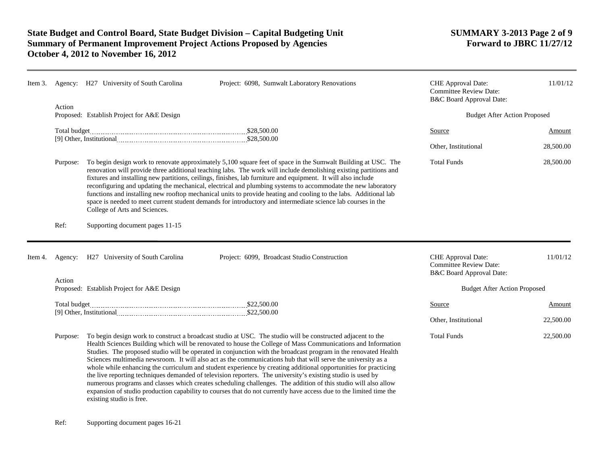|         |          | Item 3. Agency: H27 University of South Carolina                                                                                                                                                                                                                                                                                                                                                                                                                                                                                                                                                                                                                                                                                                                                                                                                                                                                                                                     | Project: 6098, Sumwalt Laboratory Renovations                                                                                                                                                                                                                                                                                                                                                                                                                                                                                                                                                                                                                                                           | CHE Approval Date:<br><b>Committee Review Date:</b><br>B&C Board Approval Date:        | 11/01/12  |
|---------|----------|----------------------------------------------------------------------------------------------------------------------------------------------------------------------------------------------------------------------------------------------------------------------------------------------------------------------------------------------------------------------------------------------------------------------------------------------------------------------------------------------------------------------------------------------------------------------------------------------------------------------------------------------------------------------------------------------------------------------------------------------------------------------------------------------------------------------------------------------------------------------------------------------------------------------------------------------------------------------|---------------------------------------------------------------------------------------------------------------------------------------------------------------------------------------------------------------------------------------------------------------------------------------------------------------------------------------------------------------------------------------------------------------------------------------------------------------------------------------------------------------------------------------------------------------------------------------------------------------------------------------------------------------------------------------------------------|----------------------------------------------------------------------------------------|-----------|
|         | Action   | Proposed: Establish Project for A&E Design                                                                                                                                                                                                                                                                                                                                                                                                                                                                                                                                                                                                                                                                                                                                                                                                                                                                                                                           |                                                                                                                                                                                                                                                                                                                                                                                                                                                                                                                                                                                                                                                                                                         | <b>Budget After Action Proposed</b>                                                    |           |
|         |          |                                                                                                                                                                                                                                                                                                                                                                                                                                                                                                                                                                                                                                                                                                                                                                                                                                                                                                                                                                      |                                                                                                                                                                                                                                                                                                                                                                                                                                                                                                                                                                                                                                                                                                         | Source                                                                                 | Amount    |
|         |          |                                                                                                                                                                                                                                                                                                                                                                                                                                                                                                                                                                                                                                                                                                                                                                                                                                                                                                                                                                      |                                                                                                                                                                                                                                                                                                                                                                                                                                                                                                                                                                                                                                                                                                         | Other, Institutional                                                                   | 28,500.00 |
|         | Purpose: | College of Arts and Sciences.                                                                                                                                                                                                                                                                                                                                                                                                                                                                                                                                                                                                                                                                                                                                                                                                                                                                                                                                        | To begin design work to renovate approximately 5,100 square feet of space in the Sumwalt Building at USC. The<br>renovation will provide three additional teaching labs. The work will include demolishing existing partitions and<br>fixtures and installing new partitions, ceilings, finishes, lab furniture and equipment. It will also include<br>reconfiguring and updating the mechanical, electrical and plumbing systems to accommodate the new laboratory<br>functions and installing new rooftop mechanical units to provide heating and cooling to the labs. Additional lab<br>space is needed to meet current student demands for introductory and intermediate science lab courses in the | <b>Total Funds</b>                                                                     | 28,500.00 |
|         | Ref:     | Supporting document pages 11-15                                                                                                                                                                                                                                                                                                                                                                                                                                                                                                                                                                                                                                                                                                                                                                                                                                                                                                                                      |                                                                                                                                                                                                                                                                                                                                                                                                                                                                                                                                                                                                                                                                                                         |                                                                                        |           |
| Item 4. |          | Agency: H27 University of South Carolina                                                                                                                                                                                                                                                                                                                                                                                                                                                                                                                                                                                                                                                                                                                                                                                                                                                                                                                             | Project: 6099, Broadcast Studio Construction                                                                                                                                                                                                                                                                                                                                                                                                                                                                                                                                                                                                                                                            | <b>CHE</b> Approval Date:<br><b>Committee Review Date:</b><br>B&C Board Approval Date: | 11/01/12  |
|         | Action   | Proposed: Establish Project for A&E Design                                                                                                                                                                                                                                                                                                                                                                                                                                                                                                                                                                                                                                                                                                                                                                                                                                                                                                                           |                                                                                                                                                                                                                                                                                                                                                                                                                                                                                                                                                                                                                                                                                                         | <b>Budget After Action Proposed</b>                                                    |           |
|         |          |                                                                                                                                                                                                                                                                                                                                                                                                                                                                                                                                                                                                                                                                                                                                                                                                                                                                                                                                                                      |                                                                                                                                                                                                                                                                                                                                                                                                                                                                                                                                                                                                                                                                                                         | Source                                                                                 | Amount    |
|         |          |                                                                                                                                                                                                                                                                                                                                                                                                                                                                                                                                                                                                                                                                                                                                                                                                                                                                                                                                                                      |                                                                                                                                                                                                                                                                                                                                                                                                                                                                                                                                                                                                                                                                                                         | Other, Institutional                                                                   | 22,500.00 |
|         | Purpose: | To begin design work to construct a broadcast studio at USC. The studio will be constructed adjacent to the<br>Health Sciences Building which will be renovated to house the College of Mass Communications and Information<br>Studies. The proposed studio will be operated in conjunction with the broadcast program in the renovated Health<br>Sciences multimedia newsroom. It will also act as the communications hub that will serve the university as a<br>whole while enhancing the curriculum and student experience by creating additional opportunities for practicing<br>the live reporting techniques demanded of television reporters. The university's existing studio is used by<br>numerous programs and classes which creates scheduling challenges. The addition of this studio will also allow<br>expansion of studio production capability to courses that do not currently have access due to the limited time the<br>existing studio is free. |                                                                                                                                                                                                                                                                                                                                                                                                                                                                                                                                                                                                                                                                                                         | <b>Total Funds</b>                                                                     | 22,500.00 |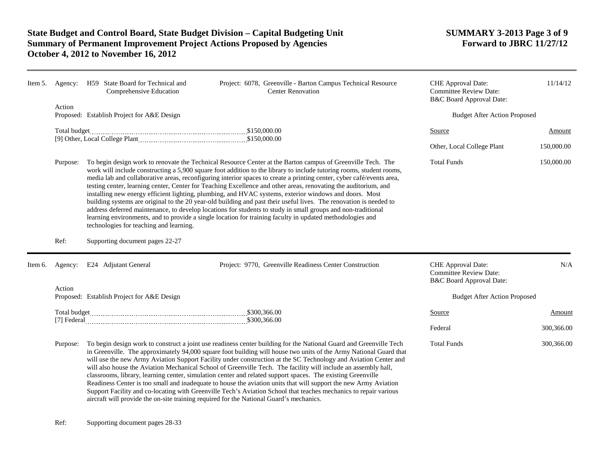| Item 5. | Agency:                                                                                             | H59 State Board for Technical and<br>Comprehensive Education | Project: 6078, Greenville - Barton Campus Technical Resource<br><b>Center Renovation</b>                                                                                                                                                                                                                                                                                                                                                                                                                                                                                                                                                                                                                                                                                                                                                                                                                                                     | CHE Approval Date:<br><b>Committee Review Date:</b><br>B&C Board Approval Date: | 11/14/12      |
|---------|-----------------------------------------------------------------------------------------------------|--------------------------------------------------------------|----------------------------------------------------------------------------------------------------------------------------------------------------------------------------------------------------------------------------------------------------------------------------------------------------------------------------------------------------------------------------------------------------------------------------------------------------------------------------------------------------------------------------------------------------------------------------------------------------------------------------------------------------------------------------------------------------------------------------------------------------------------------------------------------------------------------------------------------------------------------------------------------------------------------------------------------|---------------------------------------------------------------------------------|---------------|
|         | Action                                                                                              | Proposed: Establish Project for A&E Design                   |                                                                                                                                                                                                                                                                                                                                                                                                                                                                                                                                                                                                                                                                                                                                                                                                                                                                                                                                              | <b>Budget After Action Proposed</b>                                             |               |
|         | Total budget                                                                                        |                                                              |                                                                                                                                                                                                                                                                                                                                                                                                                                                                                                                                                                                                                                                                                                                                                                                                                                                                                                                                              | Source                                                                          | <b>Amount</b> |
|         |                                                                                                     |                                                              |                                                                                                                                                                                                                                                                                                                                                                                                                                                                                                                                                                                                                                                                                                                                                                                                                                                                                                                                              | Other, Local College Plant                                                      | 150,000.00    |
|         | Purpose:                                                                                            | technologies for teaching and learning.                      | To begin design work to renovate the Technical Resource Center at the Barton campus of Greenville Tech. The<br>work will include constructing a 5,900 square foot addition to the library to include tutoring rooms, student rooms,<br>media lab and collaborative areas, reconfiguring interior spaces to create a printing center, cyber café/events area,<br>testing center, learning center, Center for Teaching Excellence and other areas, renovating the auditorium, and<br>installing new energy efficient lighting, plumbing, and HVAC systems, exterior windows and doors. Most<br>building systems are original to the 20 year-old building and past their useful lives. The renovation is needed to<br>address deferred maintenance, to develop locations for students to study in small groups and non-traditional<br>learning environments, and to provide a single location for training faculty in updated methodologies and | <b>Total Funds</b>                                                              | 150,000.00    |
|         | Ref:                                                                                                | Supporting document pages 22-27                              |                                                                                                                                                                                                                                                                                                                                                                                                                                                                                                                                                                                                                                                                                                                                                                                                                                                                                                                                              |                                                                                 |               |
| Item 6. | Agency:                                                                                             | E24 Adjutant General                                         | Project: 9770, Greenville Readiness Center Construction                                                                                                                                                                                                                                                                                                                                                                                                                                                                                                                                                                                                                                                                                                                                                                                                                                                                                      | CHE Approval Date:<br><b>Committee Review Date:</b><br>B&C Board Approval Date: | N/A           |
|         | Action                                                                                              | Proposed: Establish Project for A&E Design                   |                                                                                                                                                                                                                                                                                                                                                                                                                                                                                                                                                                                                                                                                                                                                                                                                                                                                                                                                              | <b>Budget After Action Proposed</b>                                             |               |
|         |                                                                                                     |                                                              |                                                                                                                                                                                                                                                                                                                                                                                                                                                                                                                                                                                                                                                                                                                                                                                                                                                                                                                                              | <b>Source</b>                                                                   | Amount        |
|         |                                                                                                     |                                                              |                                                                                                                                                                                                                                                                                                                                                                                                                                                                                                                                                                                                                                                                                                                                                                                                                                                                                                                                              | Federal                                                                         | 300,366.00    |
|         | Purpose:<br>aircraft will provide the on-site training required for the National Guard's mechanics. |                                                              | To begin design work to construct a joint use readiness center building for the National Guard and Greenville Tech<br>in Greenville. The approximately 94,000 square foot building will house two units of the Army National Guard that<br>will use the new Army Aviation Support Facility under construction at the SC Technology and Aviation Center and<br>will also house the Aviation Mechanical School of Greenville Tech. The facility will include an assembly hall,<br>classrooms, library, learning center, simulation center and related support spaces. The existing Greenville<br>Readiness Center is too small and inadequate to house the aviation units that will support the new Army Aviation<br>Support Facility and co-locating with Greenville Tech's Aviation School that teaches mechanics to repair various                                                                                                          | <b>Total Funds</b>                                                              | 300,366.00    |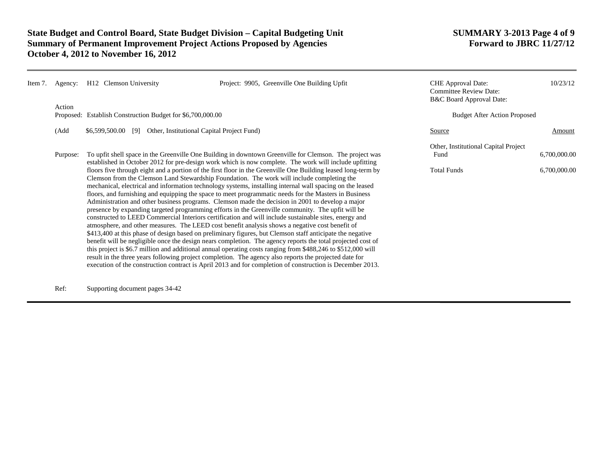# **State Budget and Control Board, State Budget Division – Capital Budgeting Unit SUMMARY 3-2013 Page 4 of 9<br>Summary of Permanent Improvement Project Actions Proposed by Agencies Forward to JBRC 11/27/12 Summary of Permanent Improvement Project Actions Proposed by Agencies October 4, 2012 to November 16, 2012**

| Item 7. | Agency:  | H <sub>12</sub> Clemson University                                | Project: 9905, Greenville One Building Upfit                                                                                                                                                                                                                                                                                                                                                                                                                                                                                                                                                                                                                                                                                                                                                                                                                                                                                                                                                                                                                                                                                                                                                                                                                                                                                                                                                                                                                                                                                                                                                                                                   | <b>CHE</b> Approval Date:<br><b>Committee Review Date:</b><br>B&C Board Approval Date: | 10/23/12                            |
|---------|----------|-------------------------------------------------------------------|------------------------------------------------------------------------------------------------------------------------------------------------------------------------------------------------------------------------------------------------------------------------------------------------------------------------------------------------------------------------------------------------------------------------------------------------------------------------------------------------------------------------------------------------------------------------------------------------------------------------------------------------------------------------------------------------------------------------------------------------------------------------------------------------------------------------------------------------------------------------------------------------------------------------------------------------------------------------------------------------------------------------------------------------------------------------------------------------------------------------------------------------------------------------------------------------------------------------------------------------------------------------------------------------------------------------------------------------------------------------------------------------------------------------------------------------------------------------------------------------------------------------------------------------------------------------------------------------------------------------------------------------|----------------------------------------------------------------------------------------|-------------------------------------|
|         | Action   | Proposed: Establish Construction Budget for \$6,700,000.00        |                                                                                                                                                                                                                                                                                                                                                                                                                                                                                                                                                                                                                                                                                                                                                                                                                                                                                                                                                                                                                                                                                                                                                                                                                                                                                                                                                                                                                                                                                                                                                                                                                                                |                                                                                        | <b>Budget After Action Proposed</b> |
|         | (Add     | Other, Institutional Capital Project Fund)<br>$$6,599,500.00$ [9] |                                                                                                                                                                                                                                                                                                                                                                                                                                                                                                                                                                                                                                                                                                                                                                                                                                                                                                                                                                                                                                                                                                                                                                                                                                                                                                                                                                                                                                                                                                                                                                                                                                                | Source                                                                                 | Amount                              |
|         | Purpose: |                                                                   | To upfit shell space in the Greenville One Building in downtown Greenville for Clemson. The project was<br>established in October 2012 for pre-design work which is now complete. The work will include upfitting<br>floors five through eight and a portion of the first floor in the Greenville One Building leased long-term by<br>Clemson from the Clemson Land Stewardship Foundation. The work will include completing the<br>mechanical, electrical and information technology systems, installing internal wall spacing on the leased<br>floors, and furnishing and equipping the space to meet programmatic needs for the Masters in Business<br>Administration and other business programs. Clemson made the decision in 2001 to develop a major<br>presence by expanding targeted programming efforts in the Greenville community. The upfit will be<br>constructed to LEED Commercial Interiors certification and will include sustainable sites, energy and<br>atmosphere, and other measures. The LEED cost benefit analysis shows a negative cost benefit of<br>\$413,400 at this phase of design based on preliminary figures, but Clemson staff anticipate the negative<br>benefit will be negligible once the design nears completion. The agency reports the total projected cost of<br>this project is \$6.7 million and additional annual operating costs ranging from \$488,246 to \$512,000 will<br>result in the three years following project completion. The agency also reports the projected date for<br>execution of the construction contract is April 2013 and for completion of construction is December 2013. | Other, Institutional Capital Project<br>Fund<br><b>Total Funds</b>                     | 6,700,000.00<br>6,700,000.00        |

Ref: Supporting document pages 34-42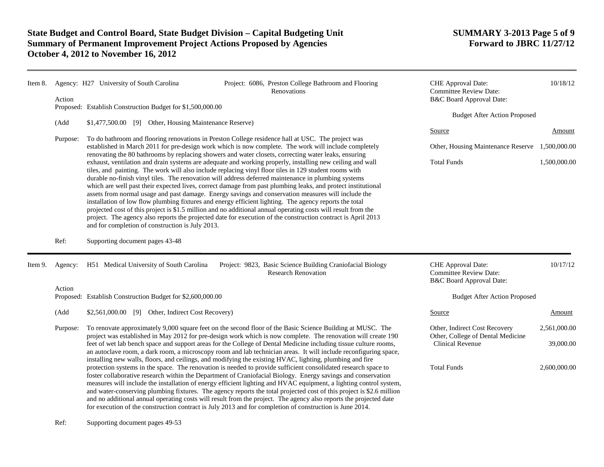| Item 8. |          | Agency: H27 University of South Carolina<br>Project: 6086, Preston College Bathroom and Flooring<br>Renovations                                                                                                                                                                                                                                                                                                                                                                                                                                                                                                                                                                                                                                                                                                                                                                                                                                                                                                                                                                                                                                                  |                                                                                                                                                                                                                                                                                                                                                                                                                                                                                                                                                                                                                                                                                                               | CHE Approval Date:<br><b>Committee Review Date:</b>                             | 10/18/12     |  |
|---------|----------|------------------------------------------------------------------------------------------------------------------------------------------------------------------------------------------------------------------------------------------------------------------------------------------------------------------------------------------------------------------------------------------------------------------------------------------------------------------------------------------------------------------------------------------------------------------------------------------------------------------------------------------------------------------------------------------------------------------------------------------------------------------------------------------------------------------------------------------------------------------------------------------------------------------------------------------------------------------------------------------------------------------------------------------------------------------------------------------------------------------------------------------------------------------|---------------------------------------------------------------------------------------------------------------------------------------------------------------------------------------------------------------------------------------------------------------------------------------------------------------------------------------------------------------------------------------------------------------------------------------------------------------------------------------------------------------------------------------------------------------------------------------------------------------------------------------------------------------------------------------------------------------|---------------------------------------------------------------------------------|--------------|--|
|         | Action   | Proposed: Establish Construction Budget for \$1,500,000.00                                                                                                                                                                                                                                                                                                                                                                                                                                                                                                                                                                                                                                                                                                                                                                                                                                                                                                                                                                                                                                                                                                       |                                                                                                                                                                                                                                                                                                                                                                                                                                                                                                                                                                                                                                                                                                               | B&C Board Approval Date:                                                        |              |  |
|         |          |                                                                                                                                                                                                                                                                                                                                                                                                                                                                                                                                                                                                                                                                                                                                                                                                                                                                                                                                                                                                                                                                                                                                                                  |                                                                                                                                                                                                                                                                                                                                                                                                                                                                                                                                                                                                                                                                                                               | <b>Budget After Action Proposed</b>                                             |              |  |
|         | (Add     | \$1,477,500.00 [9] Other, Housing Maintenance Reserve)<br>To do bathroom and flooring renovations in Preston College residence hall at USC. The project was                                                                                                                                                                                                                                                                                                                                                                                                                                                                                                                                                                                                                                                                                                                                                                                                                                                                                                                                                                                                      |                                                                                                                                                                                                                                                                                                                                                                                                                                                                                                                                                                                                                                                                                                               |                                                                                 |              |  |
|         | Purpose: |                                                                                                                                                                                                                                                                                                                                                                                                                                                                                                                                                                                                                                                                                                                                                                                                                                                                                                                                                                                                                                                                                                                                                                  | Source                                                                                                                                                                                                                                                                                                                                                                                                                                                                                                                                                                                                                                                                                                        | Amount                                                                          |              |  |
|         |          | established in March 2011 for pre-design work which is now complete. The work will include completely<br>renovating the 80 bathrooms by replacing showers and water closets, correcting water leaks, ensuring<br>exhaust, ventilation and drain systems are adequate and working properly, installing new ceiling and wall<br>tiles, and painting. The work will also include replacing vinyl floor tiles in 129 student rooms with<br>durable no-finish vinyl tiles. The renovation will address deferred maintenance in plumbing systems<br>which are well past their expected lives, correct damage from past plumbing leaks, and protect institutional<br>assets from normal usage and past damage. Energy savings and conservation measures will include the<br>installation of low flow plumbing fixtures and energy efficient lighting. The agency reports the total<br>projected cost of this project is \$1.5 million and no additional annual operating costs will result from the<br>project. The agency also reports the projected date for execution of the construction contract is April 2013<br>and for completion of construction is July 2013. |                                                                                                                                                                                                                                                                                                                                                                                                                                                                                                                                                                                                                                                                                                               | Other, Housing Maintenance Reserve                                              | 1,500,000.00 |  |
|         |          |                                                                                                                                                                                                                                                                                                                                                                                                                                                                                                                                                                                                                                                                                                                                                                                                                                                                                                                                                                                                                                                                                                                                                                  |                                                                                                                                                                                                                                                                                                                                                                                                                                                                                                                                                                                                                                                                                                               | <b>Total Funds</b>                                                              | 1,500,000.00 |  |
|         | Ref:     | Supporting document pages 43-48                                                                                                                                                                                                                                                                                                                                                                                                                                                                                                                                                                                                                                                                                                                                                                                                                                                                                                                                                                                                                                                                                                                                  |                                                                                                                                                                                                                                                                                                                                                                                                                                                                                                                                                                                                                                                                                                               |                                                                                 |              |  |
| Item 9. | Agency:  | H51 Medical University of South Carolina                                                                                                                                                                                                                                                                                                                                                                                                                                                                                                                                                                                                                                                                                                                                                                                                                                                                                                                                                                                                                                                                                                                         | Project: 9823, Basic Science Building Craniofacial Biology<br><b>Research Renovation</b>                                                                                                                                                                                                                                                                                                                                                                                                                                                                                                                                                                                                                      | CHE Approval Date:<br><b>Committee Review Date:</b><br>B&C Board Approval Date: | 10/17/12     |  |
|         | Action   |                                                                                                                                                                                                                                                                                                                                                                                                                                                                                                                                                                                                                                                                                                                                                                                                                                                                                                                                                                                                                                                                                                                                                                  |                                                                                                                                                                                                                                                                                                                                                                                                                                                                                                                                                                                                                                                                                                               |                                                                                 |              |  |
|         |          | Proposed: Establish Construction Budget for \$2,600,000.00                                                                                                                                                                                                                                                                                                                                                                                                                                                                                                                                                                                                                                                                                                                                                                                                                                                                                                                                                                                                                                                                                                       |                                                                                                                                                                                                                                                                                                                                                                                                                                                                                                                                                                                                                                                                                                               | <b>Budget After Action Proposed</b>                                             |              |  |
|         | (Add     | \$2,561,000.00 [9] Other, Indirect Cost Recovery)                                                                                                                                                                                                                                                                                                                                                                                                                                                                                                                                                                                                                                                                                                                                                                                                                                                                                                                                                                                                                                                                                                                |                                                                                                                                                                                                                                                                                                                                                                                                                                                                                                                                                                                                                                                                                                               | Source                                                                          | Amount       |  |
|         | Purpose: |                                                                                                                                                                                                                                                                                                                                                                                                                                                                                                                                                                                                                                                                                                                                                                                                                                                                                                                                                                                                                                                                                                                                                                  | To renovate approximately 9,000 square feet on the second floor of the Basic Science Building at MUSC. The                                                                                                                                                                                                                                                                                                                                                                                                                                                                                                                                                                                                    | Other, Indirect Cost Recovery<br>Other, College of Dental Medicine              | 2,561,000.00 |  |
|         |          | project was established in May 2012 for pre-design work which is now complete. The renovation will create 190<br>feet of wet lab bench space and support areas for the College of Dental Medicine including tissue culture rooms,<br>an autoclave room, a dark room, a microscopy room and lab technician areas. It will include reconfiguring space,<br>installing new walls, floors, and ceilings, and modifying the existing HVAC, lighting, plumbing and fire                                                                                                                                                                                                                                                                                                                                                                                                                                                                                                                                                                                                                                                                                                |                                                                                                                                                                                                                                                                                                                                                                                                                                                                                                                                                                                                                                                                                                               | <b>Clinical Revenue</b>                                                         | 39,000.00    |  |
|         |          |                                                                                                                                                                                                                                                                                                                                                                                                                                                                                                                                                                                                                                                                                                                                                                                                                                                                                                                                                                                                                                                                                                                                                                  | protection systems in the space. The renovation is needed to provide sufficient consolidated research space to<br>foster collaborative research within the Department of Craniofacial Biology. Energy savings and conservation<br>measures will include the installation of energy efficient lighting and HVAC equipment, a lighting control system,<br>and water-conserving plumbing fixtures. The agency reports the total projected cost of this project is \$2.6 million<br>and no additional annual operating costs will result from the project. The agency also reports the projected date<br>for execution of the construction contract is July 2013 and for completion of construction is June 2014. | <b>Total Funds</b>                                                              | 2,600,000.00 |  |

Ref: Supporting document pages 49-53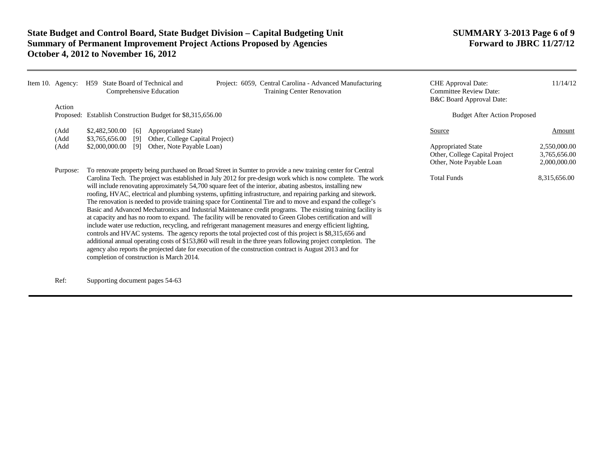| Item 10. Agency: | Project: 6059, Central Carolina - Advanced Manufacturing<br>H59 State Board of Technical and<br><b>Training Center Renovation</b><br>Comprehensive Education                                                                                                                                                                                                                                                                                                                                                                                                                                                                                                                                                                                                                                                                                                                                                                                                                                                                                                                                                                                                                                                                                                                                                      | <b>CHE</b> Approval Date:<br><b>Committee Review Date:</b><br><b>B&amp;C Board Approval Date:</b> | 11/14/12                                     |
|------------------|-------------------------------------------------------------------------------------------------------------------------------------------------------------------------------------------------------------------------------------------------------------------------------------------------------------------------------------------------------------------------------------------------------------------------------------------------------------------------------------------------------------------------------------------------------------------------------------------------------------------------------------------------------------------------------------------------------------------------------------------------------------------------------------------------------------------------------------------------------------------------------------------------------------------------------------------------------------------------------------------------------------------------------------------------------------------------------------------------------------------------------------------------------------------------------------------------------------------------------------------------------------------------------------------------------------------|---------------------------------------------------------------------------------------------------|----------------------------------------------|
| Action           |                                                                                                                                                                                                                                                                                                                                                                                                                                                                                                                                                                                                                                                                                                                                                                                                                                                                                                                                                                                                                                                                                                                                                                                                                                                                                                                   |                                                                                                   |                                              |
|                  | Proposed: Establish Construction Budget for \$8,315,656.00                                                                                                                                                                                                                                                                                                                                                                                                                                                                                                                                                                                                                                                                                                                                                                                                                                                                                                                                                                                                                                                                                                                                                                                                                                                        | <b>Budget After Action Proposed</b>                                                               |                                              |
| (Add<br>(Add     | $$2,482,500.00$ [6]<br>Appropriated State)<br>$$3,765,656.00$ [9]<br>Other, College Capital Project)                                                                                                                                                                                                                                                                                                                                                                                                                                                                                                                                                                                                                                                                                                                                                                                                                                                                                                                                                                                                                                                                                                                                                                                                              | Source                                                                                            | Amount                                       |
| (Add             | $$2,000,000.00$ [9]<br>Other, Note Payable Loan)                                                                                                                                                                                                                                                                                                                                                                                                                                                                                                                                                                                                                                                                                                                                                                                                                                                                                                                                                                                                                                                                                                                                                                                                                                                                  | <b>Appropriated State</b><br>Other, College Capital Project<br>Other, Note Payable Loan           | 2,550,000.00<br>3,765,656.00<br>2,000,000.00 |
| Purpose:         | To renovate property being purchased on Broad Street in Sumter to provide a new training center for Central<br>Carolina Tech. The project was established in July 2012 for pre-design work which is now complete. The work<br>will include renovating approximately 54,700 square feet of the interior, abating asbestos, installing new<br>roofing, HVAC, electrical and plumbing systems, upfitting infrastructure, and repairing parking and sitework.<br>The renovation is needed to provide training space for Continental Tire and to move and expand the college's<br>Basic and Advanced Mechatronics and Industrial Maintenance credit programs. The existing training facility is<br>at capacity and has no room to expand. The facility will be renovated to Green Globes certification and will<br>include water use reduction, recycling, and refrigerant management measures and energy efficient lighting,<br>controls and HVAC systems. The agency reports the total projected cost of this project is \$8,315,656 and<br>additional annual operating costs of \$153,860 will result in the three years following project completion. The<br>agency also reports the projected date for execution of the construction contract is August 2013 and for<br>completion of construction is March 2014. | <b>Total Funds</b>                                                                                | 8,315,656.00                                 |

Ref: Supporting document pages 54-63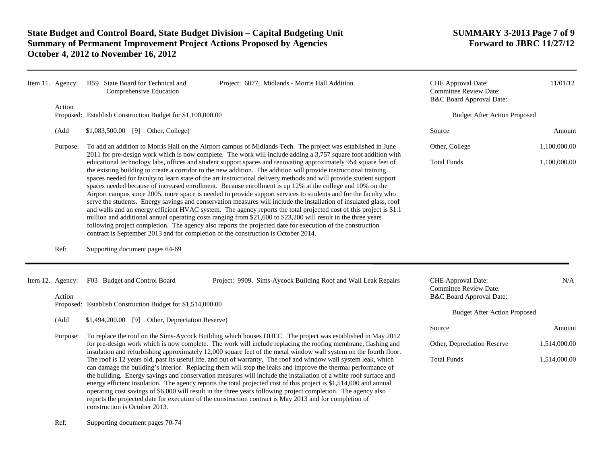| Item 11. Agency:           | H59 State Board for Technical and<br>Comprehensive Education                       | Project: 6077, Midlands - Morris Hall Addition                                                                                                                                                                                                                                                                                                                                                                                                                                                                                                                                                                                                                                                                                                                                                                                                                                                                                                                                                                                                                           | CHE Approval Date:<br><b>Committee Review Date:</b><br>B&C Board Approval Date: | 11/01/12     |
|----------------------------|------------------------------------------------------------------------------------|--------------------------------------------------------------------------------------------------------------------------------------------------------------------------------------------------------------------------------------------------------------------------------------------------------------------------------------------------------------------------------------------------------------------------------------------------------------------------------------------------------------------------------------------------------------------------------------------------------------------------------------------------------------------------------------------------------------------------------------------------------------------------------------------------------------------------------------------------------------------------------------------------------------------------------------------------------------------------------------------------------------------------------------------------------------------------|---------------------------------------------------------------------------------|--------------|
| Action                     | Proposed: Establish Construction Budget for \$1,100,000.00                         |                                                                                                                                                                                                                                                                                                                                                                                                                                                                                                                                                                                                                                                                                                                                                                                                                                                                                                                                                                                                                                                                          | <b>Budget After Action Proposed</b>                                             |              |
| (Add                       | \$1,083,500.00 [9] Other, College)                                                 |                                                                                                                                                                                                                                                                                                                                                                                                                                                                                                                                                                                                                                                                                                                                                                                                                                                                                                                                                                                                                                                                          | Source                                                                          | Amount       |
| Purpose:                   |                                                                                    | To add an addition to Morris Hall on the Airport campus of Midlands Tech. The project was established in June<br>2011 for pre-design work which is now complete. The work will include adding a 3,757 square foot addition with                                                                                                                                                                                                                                                                                                                                                                                                                                                                                                                                                                                                                                                                                                                                                                                                                                          | Other, College                                                                  | 1,100,000.00 |
|                            | contract is September 2013 and for completion of the construction is October 2014. | educational technology labs, offices and student support spaces and renovating approximately 954 square feet of<br>the existing building to create a corridor to the new addition. The addition will provide instructional training<br>spaces needed for faculty to learn state of the art instructional delivery methods and will provide student support<br>spaces needed because of increased enrollment. Because enrollment is up 12% at the college and 10% on the<br>Airport campus since 2005, more space is needed to provide support services to students and for the faculty who<br>serve the students. Energy savings and conservation measures will include the installation of insulated glass, roof<br>and walls and an energy efficient HVAC system. The agency reports the total projected cost of this project is \$1.1<br>million and additional annual operating costs ranging from \$21,600 to \$23,200 will result in the three years<br>following project completion. The agency also reports the projected date for execution of the construction | <b>Total Funds</b>                                                              | 1,100,000.00 |
| Ref:                       | Supporting document pages 64-69                                                    |                                                                                                                                                                                                                                                                                                                                                                                                                                                                                                                                                                                                                                                                                                                                                                                                                                                                                                                                                                                                                                                                          |                                                                                 |              |
| Item 12. Agency:<br>Action | F03 Budget and Control Board                                                       | Project: 9909, Sims-Aycock Building Roof and Wall Leak Repairs                                                                                                                                                                                                                                                                                                                                                                                                                                                                                                                                                                                                                                                                                                                                                                                                                                                                                                                                                                                                           | CHE Approval Date:<br><b>Committee Review Date:</b><br>B&C Board Approval Date: | N/A          |
|                            | Proposed: Establish Construction Budget for \$1,514,000.00                         |                                                                                                                                                                                                                                                                                                                                                                                                                                                                                                                                                                                                                                                                                                                                                                                                                                                                                                                                                                                                                                                                          | <b>Budget After Action Proposed</b>                                             |              |
| (Add                       | \$1,494,200.00 [9] Other, Depreciation Reserve)                                    |                                                                                                                                                                                                                                                                                                                                                                                                                                                                                                                                                                                                                                                                                                                                                                                                                                                                                                                                                                                                                                                                          | Source                                                                          | Amount       |
| Purpose:                   |                                                                                    | To replace the roof on the Sims-Aycock Building which houses DHEC. The project was established in May 2012                                                                                                                                                                                                                                                                                                                                                                                                                                                                                                                                                                                                                                                                                                                                                                                                                                                                                                                                                               |                                                                                 |              |
|                            |                                                                                    | for pre-design work which is now complete. The work will include replacing the roofing membrane, flashing and<br>insulation and refurbishing approximately 12,000 square feet of the metal window wall system on the fourth floor.                                                                                                                                                                                                                                                                                                                                                                                                                                                                                                                                                                                                                                                                                                                                                                                                                                       | Other, Depreciation Reserve                                                     | 1,514,000.00 |
|                            | construction is October 2013.                                                      | The roof is 12 years old, past its useful life, and out of warranty. The roof and window wall system leak, which<br>can damage the building's interior. Replacing them will stop the leaks and improve the thermal performance of<br>the building. Energy savings and conservation measures will include the installation of a white roof surface and<br>energy efficient insulation. The agency reports the total projected cost of this project is \$1,514,000 and annual<br>operating cost savings of \$6,000 will result in the three years following project completion. The agency also<br>reports the projected date for execution of the construction contract is May 2013 and for completion of                                                                                                                                                                                                                                                                                                                                                                 | <b>Total Funds</b>                                                              | 1,514,000.00 |

Ref: Supporting document pages 70-74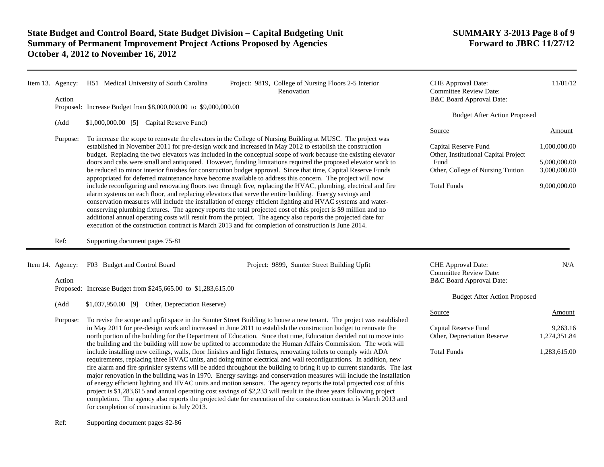| Item 13. Agency:<br>Action | H51 Medical University of South Carolina<br>Proposed: Increase Budget from \$8,000,000.00 to \$9,000,000.00                                                                                                                                                                                                                                                                                                                                                                                                                                                                                                                                                                                                                                                                                                                                                                                                     | Project: 9819, College of Nursing Floors 2-5 Interior<br>Renovation                                                                                                                                                                 | CHE Approval Date:<br><b>Committee Review Date:</b><br>B&C Board Approval Date:<br><b>Budget After Action Proposed</b> | 11/01/12                     |
|----------------------------|-----------------------------------------------------------------------------------------------------------------------------------------------------------------------------------------------------------------------------------------------------------------------------------------------------------------------------------------------------------------------------------------------------------------------------------------------------------------------------------------------------------------------------------------------------------------------------------------------------------------------------------------------------------------------------------------------------------------------------------------------------------------------------------------------------------------------------------------------------------------------------------------------------------------|-------------------------------------------------------------------------------------------------------------------------------------------------------------------------------------------------------------------------------------|------------------------------------------------------------------------------------------------------------------------|------------------------------|
| (Add<br>Purpose:           | \$1,000,000.00 [5] Capital Reserve Fund)<br>To increase the scope to renovate the elevators in the College of Nursing Building at MUSC. The project was                                                                                                                                                                                                                                                                                                                                                                                                                                                                                                                                                                                                                                                                                                                                                         |                                                                                                                                                                                                                                     | Source                                                                                                                 | Amount                       |
|                            |                                                                                                                                                                                                                                                                                                                                                                                                                                                                                                                                                                                                                                                                                                                                                                                                                                                                                                                 | established in November 2011 for pre-design work and increased in May 2012 to establish the construction<br>budget. Replacing the two elevators was included in the conceptual scope of work because the existing elevator          | Capital Reserve Fund<br>Other, Institutional Capital Project<br>Fund                                                   | 1,000,000.00<br>5,000,000.00 |
|                            | doors and cabs were small and antiquated. However, funding limitations required the proposed elevator work to<br>be reduced to minor interior finishes for construction budget approval. Since that time, Capital Reserve Funds<br>appropriated for deferred maintenance have become available to address this concern. The project will now                                                                                                                                                                                                                                                                                                                                                                                                                                                                                                                                                                    |                                                                                                                                                                                                                                     | Other, College of Nursing Tuition                                                                                      | 3,000,000.00                 |
|                            | include reconfiguring and renovating floors two through five, replacing the HVAC, plumbing, electrical and fire<br>alarm systems on each floor, and replacing elevators that serve the entire building. Energy savings and<br>conservation measures will include the installation of energy efficient lighting and HVAC systems and water-<br>conserving plumbing fixtures. The agency reports the total projected cost of this project is \$9 million and no<br>additional annual operating costs will result from the project. The agency also reports the projected date for<br>execution of the construction contract is March 2013 and for completion of construction is June 2014.                                                                                                                                                                                                                        |                                                                                                                                                                                                                                     | <b>Total Funds</b>                                                                                                     | 9,000,000.00                 |
| Ref:                       | Supporting document pages 75-81                                                                                                                                                                                                                                                                                                                                                                                                                                                                                                                                                                                                                                                                                                                                                                                                                                                                                 |                                                                                                                                                                                                                                     |                                                                                                                        |                              |
| Item 14. Agency:<br>Action | F03 Budget and Control Board                                                                                                                                                                                                                                                                                                                                                                                                                                                                                                                                                                                                                                                                                                                                                                                                                                                                                    | Project: 9899, Sumter Street Building Upfit                                                                                                                                                                                         | CHE Approval Date:<br><b>Committee Review Date:</b><br><b>B&amp;C Board Approval Date:</b>                             | N/A                          |
|                            | Proposed: Increase Budget from \$245,665.00 to \$1,283,615.00                                                                                                                                                                                                                                                                                                                                                                                                                                                                                                                                                                                                                                                                                                                                                                                                                                                   |                                                                                                                                                                                                                                     | <b>Budget After Action Proposed</b>                                                                                    |                              |
| (Add                       | \$1,037,950.00 [9] Other, Depreciation Reserve)                                                                                                                                                                                                                                                                                                                                                                                                                                                                                                                                                                                                                                                                                                                                                                                                                                                                 |                                                                                                                                                                                                                                     | Source                                                                                                                 | Amount                       |
| Purpose:                   | To revise the scope and upfit space in the Sumter Street Building to house a new tenant. The project was established<br>in May 2011 for pre-design work and increased in June 2011 to establish the construction budget to renovate the                                                                                                                                                                                                                                                                                                                                                                                                                                                                                                                                                                                                                                                                         |                                                                                                                                                                                                                                     | Capital Reserve Fund                                                                                                   | 9,263.16                     |
|                            |                                                                                                                                                                                                                                                                                                                                                                                                                                                                                                                                                                                                                                                                                                                                                                                                                                                                                                                 | north portion of the building for the Department of Education. Since that time, Education decided not to move into<br>the building and the building will now be upfitted to accommodate the Human Affairs Commission. The work will | Other, Depreciation Reserve                                                                                            | 1,274,351.84                 |
|                            | include installing new ceilings, walls, floor finishes and light fixtures, renovating toilets to comply with ADA<br>requirements, replacing three HVAC units, and doing minor electrical and wall reconfigurations. In addition, new<br>fire alarm and fire sprinkler systems will be added throughout the building to bring it up to current standards. The last<br>major renovation in the building was in 1970. Energy savings and conservation measures will include the installation<br>of energy efficient lighting and HVAC units and motion sensors. The agency reports the total projected cost of this<br>project is \$1,283,615 and annual operating cost savings of \$2,233 will result in the three years following project<br>completion. The agency also reports the projected date for execution of the construction contract is March 2013 and<br>for completion of construction is July 2013. |                                                                                                                                                                                                                                     | <b>Total Funds</b>                                                                                                     | 1,283,615.00                 |

Ref: Supporting document pages 82-86